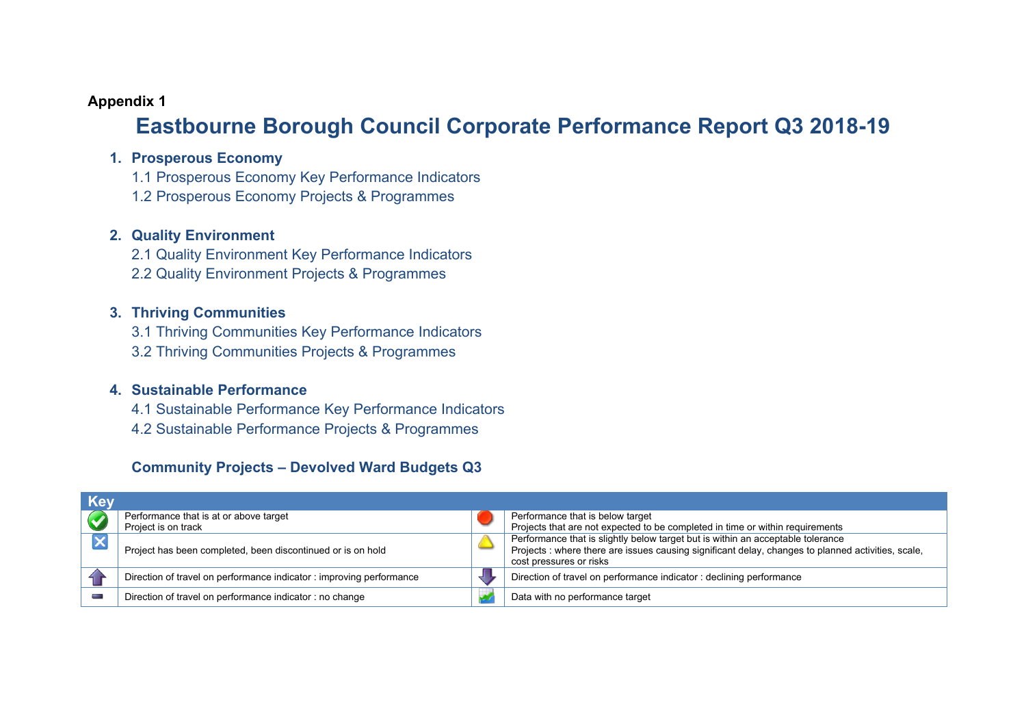#### **Appendix 1**

# **Eastbourne Borough Council Corporate Performance Report Q3 2018-19**

#### **1. Prosperous Economy**

1.1 Prosperous Economy Key Performance Indicators

1.2 Prosperous Economy Projects & Programmes

#### **2. Quality Environment**

2.1 Quality Environment Key Performance Indicators

2.2 Quality Environment Projects & Programmes

#### **3. Thriving Communities**

3.1 Thriving Communities Key Performance Indicators

3.2 Thriving Communities Projects & Programmes

#### **4. Sustainable Performance**

4.1 Sustainable Performance Key Performance Indicators

4.2 Sustainable Performance Projects & Programmes

#### **Community Projects – Devolved Ward Budgets Q3**

| <b>Key</b> |                                                                     |                                                                                                                                                                                                                  |
|------------|---------------------------------------------------------------------|------------------------------------------------------------------------------------------------------------------------------------------------------------------------------------------------------------------|
|            | Performance that is at or above target<br>Project is on track       | Performance that is below target<br>Projects that are not expected to be completed in time or within requirements                                                                                                |
|            | Project has been completed, been discontinued or is on hold         | Performance that is slightly below target but is within an acceptable tolerance<br>Projects : where there are issues causing significant delay, changes to planned activities, scale,<br>cost pressures or risks |
|            | Direction of travel on performance indicator: improving performance | Direction of travel on performance indicator: declining performance                                                                                                                                              |
|            | Direction of travel on performance indicator: no change             | Data with no performance target                                                                                                                                                                                  |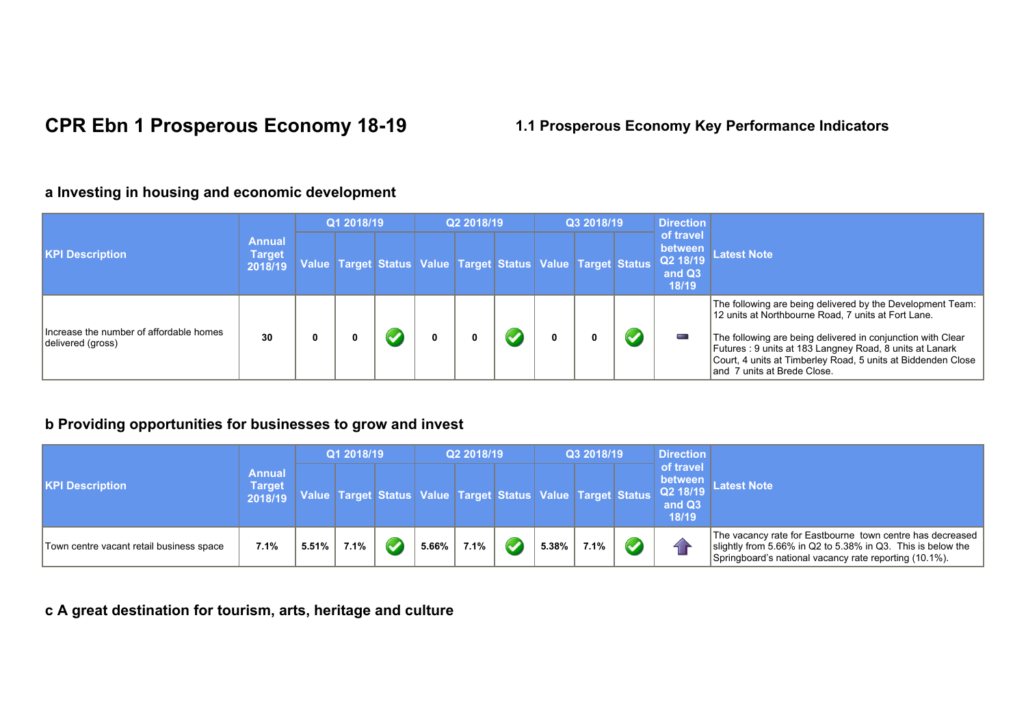# **CPR Ebn 1 Prosperous Economy 18-19 1.1 Prosperous Economy Key Performance Indicators**

#### **a Investing in housing and economic development**

|                                                              | Annual<br><b>Target</b><br>2018/19 | Q1 2018/19 |                                                                             |  | Q2 2018/19 |   |  | Q3 2018/19 |  |  | <b>Direction</b>                                    |                                                                                                                                                                                                                                                                                                                                             |
|--------------------------------------------------------------|------------------------------------|------------|-----------------------------------------------------------------------------|--|------------|---|--|------------|--|--|-----------------------------------------------------|---------------------------------------------------------------------------------------------------------------------------------------------------------------------------------------------------------------------------------------------------------------------------------------------------------------------------------------------|
| <b>KPI Description</b>                                       |                                    |            | Value   Target   Status   Value   Target   Status   Value   Target   Status |  |            |   |  |            |  |  | of travel<br>between<br>Q2 18/19<br>and Q3<br>18/19 | <b>Latest Note</b>                                                                                                                                                                                                                                                                                                                          |
| Increase the number of affordable homes<br>delivered (gross) | 30                                 |            |                                                                             |  |            | n |  |            |  |  | for a                                               | The following are being delivered by the Development Team:<br>12 units at Northbourne Road, 7 units at Fort Lane.<br>The following are being delivered in conjunction with Clear<br>Futures : 9 units at 183 Langney Road, 8 units at Lanark<br>Court, 4 units at Timberley Road, 5 units at Biddenden Close<br>and 7 units at Brede Close. |

### **b Providing opportunities for businesses to grow and invest**

|                                          |                             | Q1 2018/19 |      |  | Q2 2018/19 |      |  | Q3 2018/19 |      |  | <b>Direction</b>                                                                                                       |                                                                                                                                                                                    |
|------------------------------------------|-----------------------------|------------|------|--|------------|------|--|------------|------|--|------------------------------------------------------------------------------------------------------------------------|------------------------------------------------------------------------------------------------------------------------------------------------------------------------------------|
| <b>KPI Description</b>                   | Annual<br>Target<br>2018/19 |            |      |  |            |      |  |            |      |  | of travel<br><b>between</b><br>Value Target Status Value Target Status Value Target Status Q2 18/19<br>and Q3<br>18/19 | <b>Latest Note</b>                                                                                                                                                                 |
| Town centre vacant retail business space | 7.1%                        | 5.51%      | 7.1% |  | 5.66%      | 7.1% |  | 5.38%      | 7.1% |  |                                                                                                                        | The vacancy rate for Eastbourne town centre has decreased<br>slightly from 5.66% in Q2 to 5.38% in Q3. This is below the<br>Springboard's national vacancy rate reporting (10.1%). |

# **c A great destination for tourism, arts, heritage and culture**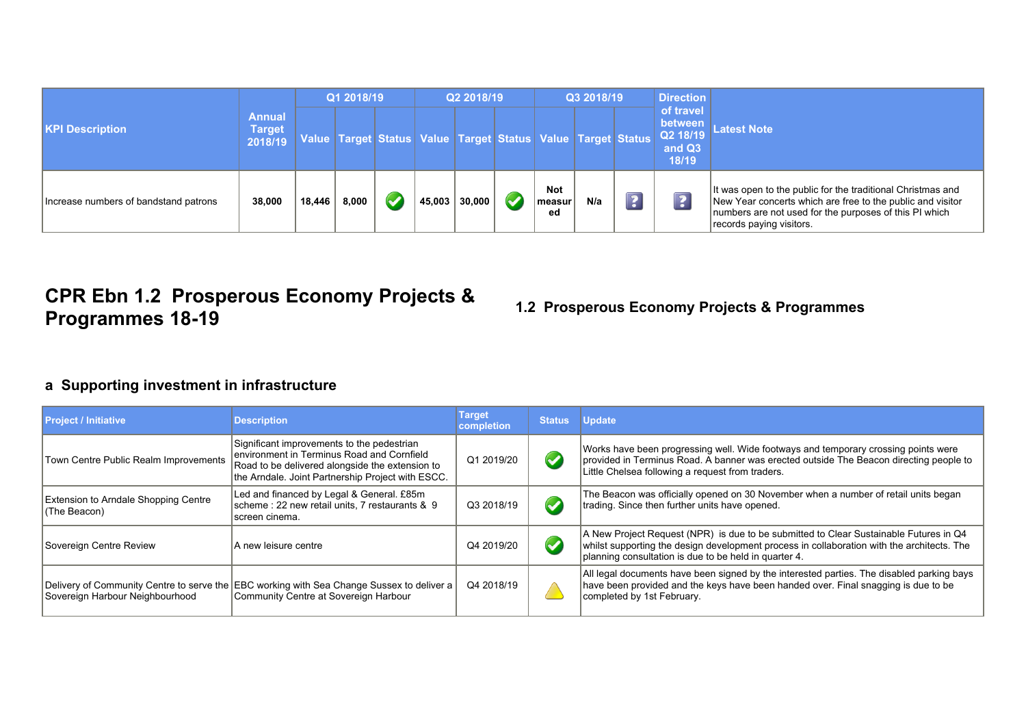|                                                              |        | Q1 2018/19 |       |                                                                         | Q2 2018/19 |        |  | Q3 2018/19                 |     |   | <b>Direction</b>                                    |                                                                                                                                                                                                                 |
|--------------------------------------------------------------|--------|------------|-------|-------------------------------------------------------------------------|------------|--------|--|----------------------------|-----|---|-----------------------------------------------------|-----------------------------------------------------------------------------------------------------------------------------------------------------------------------------------------------------------------|
| Annual<br><b>KPI Description</b><br><b>Target</b><br>2018/19 |        |            |       | Value Target Status   Value   Target   Status   Value   Target   Status |            |        |  |                            |     |   | of travel<br>between<br>Q2 18/19<br>and Q3<br>18/19 | <b>Latest Note</b>                                                                                                                                                                                              |
| Increase numbers of bandstand patrons                        | 38,000 | 18.446     | 8.000 |                                                                         | 45,003     | 30.000 |  | <b>Not</b><br>measur<br>ed | N/a | 3 | 3                                                   | It was open to the public for the traditional Christmas and<br>New Year concerts which are free to the public and visitor<br>numbers are not used for the purposes of this PI which<br>records paying visitors. |

# **CPR Ebn 1.2 Prosperous Economy Projects &**

### **Programmes 18-19 1.2 Prosperous Economy Projects & Programmes**

### **a Supporting investment in infrastructure**

| <b>Project / Initiative</b>                                 | <b>Description</b>                                                                                                                                                                               | Target<br>completion <sup>1</sup> | <b>Status</b>        | <b>Update</b>                                                                                                                                                                                                                                |
|-------------------------------------------------------------|--------------------------------------------------------------------------------------------------------------------------------------------------------------------------------------------------|-----------------------------------|----------------------|----------------------------------------------------------------------------------------------------------------------------------------------------------------------------------------------------------------------------------------------|
| Town Centre Public Realm Improvements                       | Significant improvements to the pedestrian<br>environment in Terminus Road and Cornfield<br>Road to be delivered alongside the extension to<br>the Arndale. Joint Partnership Project with ESCC. | Q1 2019/20                        | $\blacktriangledown$ | Works have been progressing well. Wide footways and temporary crossing points were<br>provided in Terminus Road. A banner was erected outside The Beacon directing people to<br>Little Chelsea following a request from traders.             |
| <b>Extension to Arndale Shopping Centre</b><br>(The Beacon) | Led and financed by Legal & General. £85m<br>scheme: 22 new retail units, 7 restaurants & 9<br>Iscreen cinema.                                                                                   | Q3 2018/19                        | $\blacktriangledown$ | The Beacon was officially opened on 30 November when a number of retail units began<br>trading. Since then further units have opened.                                                                                                        |
| Sovereign Centre Review                                     | A new leisure centre                                                                                                                                                                             | Q4 2019/20                        | $\blacktriangledown$ | A New Project Request (NPR) is due to be submitted to Clear Sustainable Futures in Q4<br>whilst supporting the design development process in collaboration with the architects. The<br>planning consultation is due to be held in quarter 4. |
| Sovereign Harbour Neighbourhood                             | Delivery of Community Centre to serve the EBC working with Sea Change Sussex to deliver a<br>Community Centre at Sovereign Harbour                                                               | Q4 2018/19                        |                      | All legal documents have been signed by the interested parties. The disabled parking bays<br>have been provided and the keys have been handed over. Final snagging is due to be<br>completed by 1st February.                                |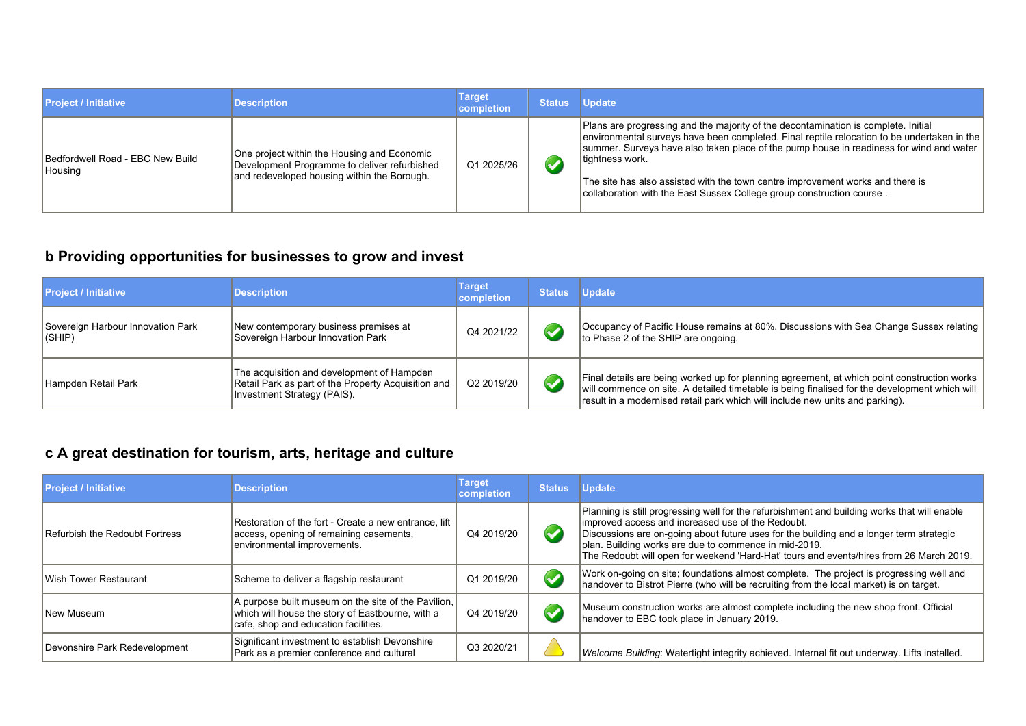| <b>Project / Initiative</b>                 | <b>Description</b>                                                                                                                         | <b>Target</b><br>completion | <b>Status</b> | <b>Update</b>                                                                                                                                                                                                                                                                                                                                                                                                                                              |
|---------------------------------------------|--------------------------------------------------------------------------------------------------------------------------------------------|-----------------------------|---------------|------------------------------------------------------------------------------------------------------------------------------------------------------------------------------------------------------------------------------------------------------------------------------------------------------------------------------------------------------------------------------------------------------------------------------------------------------------|
| Bedfordwell Road - EBC New Build<br>Housing | One project within the Housing and Economic<br>Development Programme to deliver refurbished<br>and redeveloped housing within the Borough. | Q1 2025/26                  |               | Plans are progressing and the majority of the decontamination is complete. Initial<br>environmental surveys have been completed. Final reptile relocation to be undertaken in the<br>summer. Surveys have also taken place of the pump house in readiness for wind and water<br>tightness work.<br>The site has also assisted with the town centre improvement works and there is<br>collaboration with the East Sussex College group construction course. |

### **b Providing opportunities for businesses to grow and invest**

| <b>Project / Initiative</b>                     | <b>Description</b>                                                                                                               | Target<br>completion | <b>Status</b> | <b>Update</b>                                                                                                                                                                                                                                                                 |
|-------------------------------------------------|----------------------------------------------------------------------------------------------------------------------------------|----------------------|---------------|-------------------------------------------------------------------------------------------------------------------------------------------------------------------------------------------------------------------------------------------------------------------------------|
| Sovereign Harbour Innovation Park<br>$ $ (SHIP) | New contemporary business premises at<br>Sovereign Harbour Innovation Park                                                       | Q4 2021/22           |               | Occupancy of Pacific House remains at 80%. Discussions with Sea Change Sussex relating<br>to Phase 2 of the SHIP are ongoing.                                                                                                                                                 |
| Hampden Retail Park                             | The acquisition and development of Hampden<br>Retail Park as part of the Property Acquisition and<br>Investment Strategy (PAIS). | Q2 2019/20           |               | Final details are being worked up for planning agreement, at which point construction works<br>will commence on site. A detailed timetable is being finalised for the development which will<br>result in a modernised retail park which will include new units and parking). |

# **c A great destination for tourism, arts, heritage and culture**

| <b>Project / Initiative</b>    | <b>Description</b>                                                                                                                              | Target<br>completion | <b>Status</b>        | <b>Update</b>                                                                                                                                                                                                                                                                                                                                                                                    |
|--------------------------------|-------------------------------------------------------------------------------------------------------------------------------------------------|----------------------|----------------------|--------------------------------------------------------------------------------------------------------------------------------------------------------------------------------------------------------------------------------------------------------------------------------------------------------------------------------------------------------------------------------------------------|
| Refurbish the Redoubt Fortress | Restoration of the fort - Create a new entrance, lift  <br>access, opening of remaining casements,<br>environmental improvements.               | Q4 2019/20           | $\blacktriangledown$ | Planning is still progressing well for the refurbishment and building works that will enable<br>improved access and increased use of the Redoubt.<br>Discussions are on-going about future uses for the building and a longer term strategic<br>plan. Building works are due to commence in mid-2019.<br>The Redoubt will open for weekend 'Hard-Hat' tours and events/hires from 26 March 2019. |
| Wish Tower Restaurant          | Scheme to deliver a flagship restaurant                                                                                                         | Q1 2019/20           | $\bullet$            | Work on-going on site; foundations almost complete. The project is progressing well and<br>handover to Bistrot Pierre (who will be recruiting from the local market) is on target.                                                                                                                                                                                                               |
| New Museum                     | A purpose built museum on the site of the Pavilion,<br>which will house the story of Eastbourne, with a<br>cafe, shop and education facilities. | Q4 2019/20           | $\bullet$            | Museum construction works are almost complete including the new shop front. Official<br>handover to EBC took place in January 2019.                                                                                                                                                                                                                                                              |
| Devonshire Park Redevelopment  | Significant investment to establish Devonshire<br>Park as a premier conference and cultural                                                     | Q3 2020/21           |                      | Welcome Building: Watertight integrity achieved. Internal fit out underway. Lifts installed.                                                                                                                                                                                                                                                                                                     |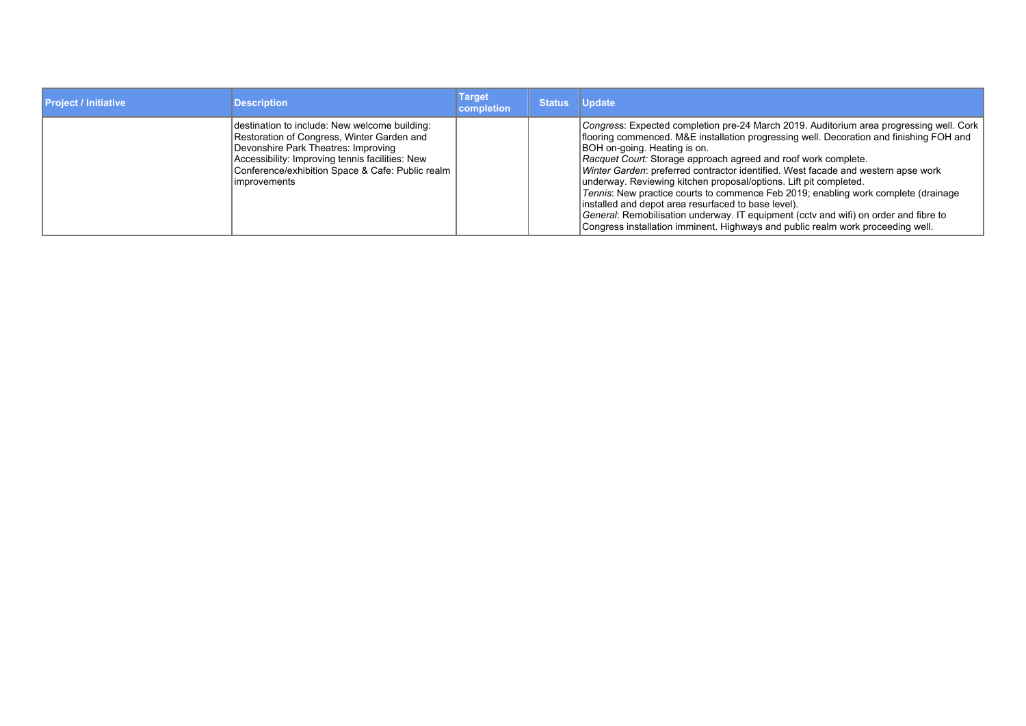| <b>Project / Initiative</b> | <b>Description</b>                                                                                                                                                                                                                                          | Target<br>completion | <b>Status</b> | <b>Update</b>                                                                                                                                                                                                                                                                                                                                                                                                                                                                                                                                                                                                                                                                                                                                                           |
|-----------------------------|-------------------------------------------------------------------------------------------------------------------------------------------------------------------------------------------------------------------------------------------------------------|----------------------|---------------|-------------------------------------------------------------------------------------------------------------------------------------------------------------------------------------------------------------------------------------------------------------------------------------------------------------------------------------------------------------------------------------------------------------------------------------------------------------------------------------------------------------------------------------------------------------------------------------------------------------------------------------------------------------------------------------------------------------------------------------------------------------------------|
|                             | destination to include: New welcome building:<br>Restoration of Congress, Winter Garden and<br>Devonshire Park Theatres: Improving<br>Accessibility: Improving tennis facilities: New<br>Conference/exhibition Space & Cafe: Public realm  <br>improvements |                      |               | Congress: Expected completion pre-24 March 2019. Auditorium area progressing well. Cork<br>flooring commenced. M&E installation progressing well. Decoration and finishing FOH and<br>BOH on-going. Heating is on.<br>Racquet Court: Storage approach agreed and roof work complete.<br>Winter Garden: preferred contractor identified. West facade and western apse work<br>underway. Reviewing kitchen proposal/options. Lift pit completed.<br>Tennis: New practice courts to commence Feb 2019; enabling work complete (drainage)<br>installed and depot area resurfaced to base level).<br>General: Remobilisation underway. IT equipment (cctv and wifi) on order and fibre to<br>Congress installation imminent. Highways and public realm work proceeding well. |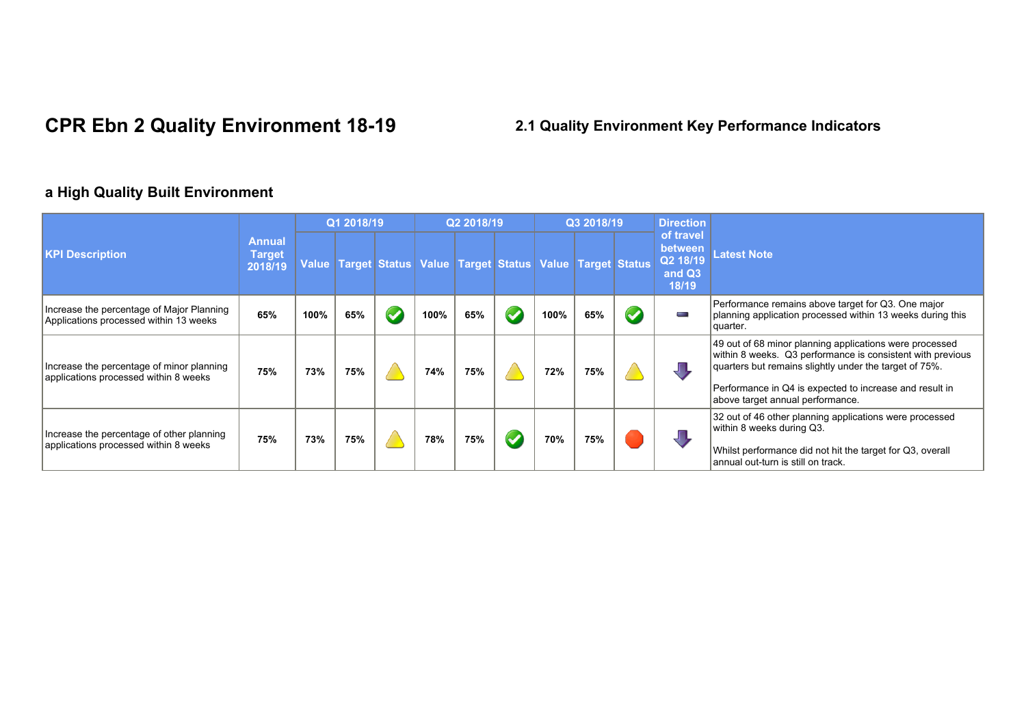# **CPR Ebn 2 Quality Environment 18-19 2.1 Quality Environment Key Performance Indicators**

### **a High Quality Built Environment**

|                                                                                     |                                           |      | Q1 2018/19 |                                               | Q2 2018/19 |     |  | Q3 2018/19 |                      |  | <b>Direction</b>                                    |                                                                                                                                                                                                                                                                                |
|-------------------------------------------------------------------------------------|-------------------------------------------|------|------------|-----------------------------------------------|------------|-----|--|------------|----------------------|--|-----------------------------------------------------|--------------------------------------------------------------------------------------------------------------------------------------------------------------------------------------------------------------------------------------------------------------------------------|
| <b>KPI Description</b>                                                              | <b>Annual</b><br><b>Target</b><br>2018/19 |      |            | Value Target Status Value Target Status Value |            |     |  |            | <b>Target Status</b> |  | of travel<br>between<br>Q2 18/19<br>and Q3<br>18/19 | <b>Latest Note</b>                                                                                                                                                                                                                                                             |
| Increase the percentage of Major Planning<br>Applications processed within 13 weeks | 65%                                       | 100% | 65%        |                                               | 100%       | 65% |  | 100%       | 65%                  |  | P.                                                  | Performance remains above target for Q3. One major<br>planning application processed within 13 weeks during this<br> quarter.                                                                                                                                                  |
| Increase the percentage of minor planning<br>applications processed within 8 weeks  | 75%                                       | 73%  | 75%        |                                               | 74%        | 75% |  | 72%        | 75%                  |  |                                                     | 49 out of 68 minor planning applications were processed<br>within 8 weeks. Q3 performance is consistent with previous<br>quarters but remains slightly under the target of 75%.<br>Performance in Q4 is expected to increase and result in<br>above target annual performance. |
| Increase the percentage of other planning<br>applications processed within 8 weeks  | 75%                                       | 73%  | 75%        |                                               | 78%        | 75% |  | 70%        | 75%                  |  |                                                     | 32 out of 46 other planning applications were processed<br>within 8 weeks during Q3.<br>Whilst performance did not hit the target for Q3, overall<br>lannual out-turn is still on track.                                                                                       |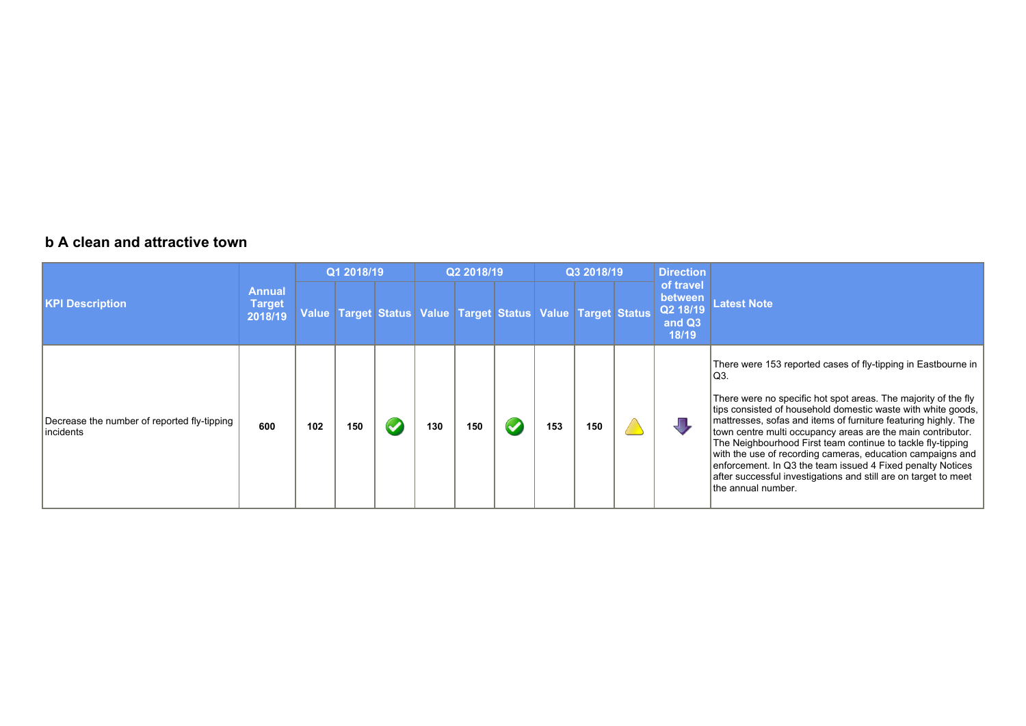#### **b A clean and attractive town**

|                                                           |                                           |       | Q1 2018/19 | Q2 2018/19 |     |                                                                   | Q3 2018/19 |     |  | <b>Direction</b>                                    |                                                                                                                                                                                                                                                                                                                                                                                                                                                                                                                                                                                                                             |
|-----------------------------------------------------------|-------------------------------------------|-------|------------|------------|-----|-------------------------------------------------------------------|------------|-----|--|-----------------------------------------------------|-----------------------------------------------------------------------------------------------------------------------------------------------------------------------------------------------------------------------------------------------------------------------------------------------------------------------------------------------------------------------------------------------------------------------------------------------------------------------------------------------------------------------------------------------------------------------------------------------------------------------------|
| <b>KPI Description</b>                                    | <b>Annual</b><br><b>Target</b><br>2018/19 | Value |            |            |     | Target Status   Value   Target   Status   Value   Target   Status |            |     |  | of travel<br>between<br>Q2 18/19<br>and Q3<br>18/19 | <b>Latest Note</b>                                                                                                                                                                                                                                                                                                                                                                                                                                                                                                                                                                                                          |
| Decrease the number of reported fly-tipping<br>lincidents | 600                                       | 102   | 150        | 130        | 150 |                                                                   | 153        | 150 |  |                                                     | There were 153 reported cases of fly-tipping in Eastbourne in<br>Q3.<br>There were no specific hot spot areas. The majority of the fly<br>tips consisted of household domestic waste with white goods,<br>mattresses, sofas and items of furniture featuring highly. The<br>town centre multi occupancy areas are the main contributor.<br>The Neighbourhood First team continue to tackle fly-tipping<br>with the use of recording cameras, education campaigns and<br>enforcement. In Q3 the team issued 4 Fixed penalty Notices<br>after successful investigations and still are on target to meet<br>the annual number. |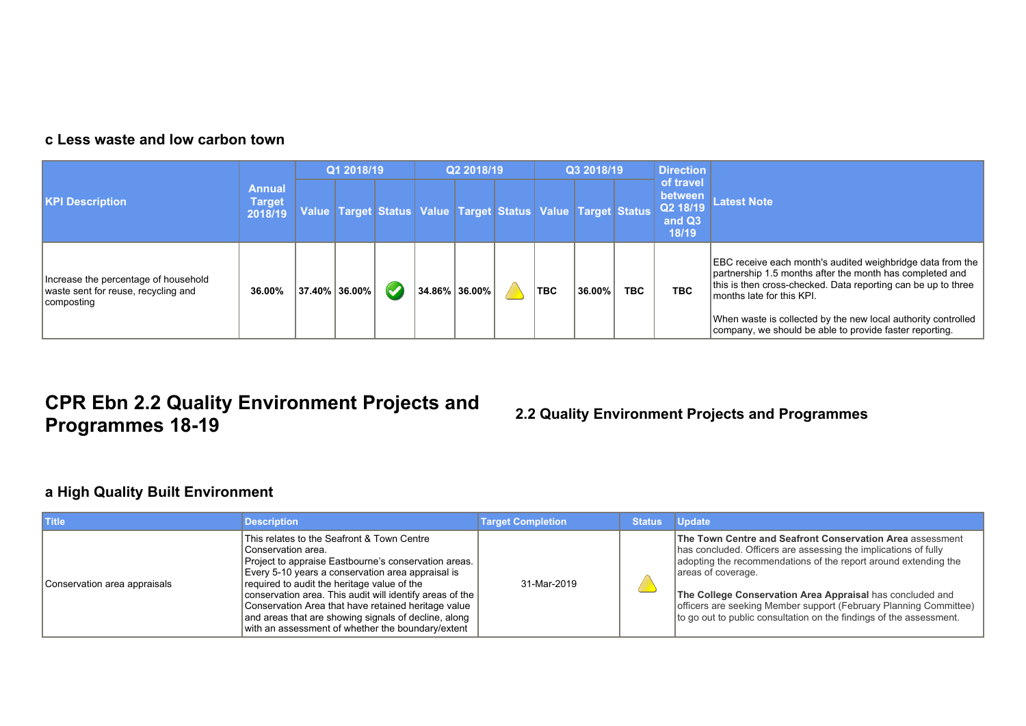#### **c Less waste and low carbon town**

|                                                                                            | <b>Annual</b><br><b>Target</b><br>2018/19 | Q1 2018/19 |               |  | Q2 2018/19 |                                                                 |  | Q3 2018/19 |        |            | <b>Direction</b>                                    |                                                                                                                                                                                                                                                                                                                                                  |
|--------------------------------------------------------------------------------------------|-------------------------------------------|------------|---------------|--|------------|-----------------------------------------------------------------|--|------------|--------|------------|-----------------------------------------------------|--------------------------------------------------------------------------------------------------------------------------------------------------------------------------------------------------------------------------------------------------------------------------------------------------------------------------------------------------|
| <b>KPI Description</b>                                                                     |                                           |            |               |  |            | Value Target Status   Value Target Status   Value Target Status |  |            |        |            | of travel<br>between<br>Q2 18/19<br>and Q3<br>18/19 | <b>Latest Note</b>                                                                                                                                                                                                                                                                                                                               |
| Increase the percentage of household<br>waste sent for reuse, recycling and<br> composting | 36.00%                                    |            | 37.40% 36.00% |  |            | 34.86% 36.00%                                                   |  | <b>TBC</b> | 36.00% | <b>TBC</b> | <b>TBC</b>                                          | EBC receive each month's audited weighbridge data from the<br>partnership 1.5 months after the month has completed and<br>this is then cross-checked. Data reporting can be up to three<br>months late for this KPI.<br>When waste is collected by the new local authority controlled<br>company, we should be able to provide faster reporting. |

# **CPR Ebn 2.2 Quality Environment Projects and**

### **Programmes 18-19 2.2 Quality Environment Projects and Programmes**

#### **a High Quality Built Environment**

| <b>Title</b>                 | <b>Description</b>                                                                                                                                                                                                                                                                                                                                                                                                                                           | <b>Target Completion</b> | <b>Status</b> | <b>Update</b>                                                                                                                                                                                                                                                                                                                                                                                                                  |
|------------------------------|--------------------------------------------------------------------------------------------------------------------------------------------------------------------------------------------------------------------------------------------------------------------------------------------------------------------------------------------------------------------------------------------------------------------------------------------------------------|--------------------------|---------------|--------------------------------------------------------------------------------------------------------------------------------------------------------------------------------------------------------------------------------------------------------------------------------------------------------------------------------------------------------------------------------------------------------------------------------|
| Conservation area appraisals | This relates to the Seafront & Town Centre<br>Conservation area.<br>Project to appraise Eastbourne's conservation areas.<br>Every 5-10 years a conservation area appraisal is<br>required to audit the heritage value of the<br>conservation area. This audit will identify areas of the<br>Conservation Area that have retained heritage value<br>and areas that are showing signals of decline, along<br>with an assessment of whether the boundary/extent | 31-Mar-2019              |               | The Town Centre and Seafront Conservation Area assessment<br>has concluded. Officers are assessing the implications of fully<br>adopting the recommendations of the report around extending the<br>areas of coverage.<br>The College Conservation Area Appraisal has concluded and<br>officers are seeking Member support (February Planning Committee)<br>to go out to public consultation on the findings of the assessment. |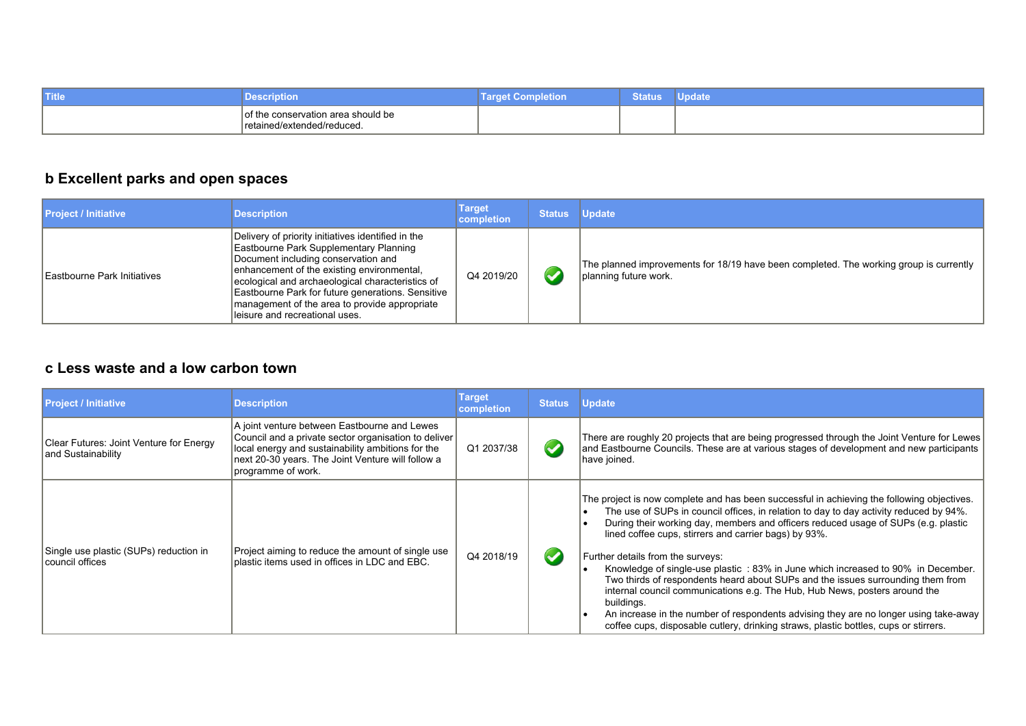| <b>Title</b> | <b>LJESCIIDUOL.</b>                                              | etion<br>. | <b>Status</b> | ----<br>puate |
|--------------|------------------------------------------------------------------|------------|---------------|---------------|
|              | of the conservation area should be<br>retained/extended/reduced. |            |               |               |

# **b Excellent parks and open spaces**

| <b>Project / Initiative</b> | <b>Description</b>                                                                                                                                                                                                                                                                                                                                                             | Target<br>completion | <b>Status</b> | <b>Update</b>                                                                                                   |
|-----------------------------|--------------------------------------------------------------------------------------------------------------------------------------------------------------------------------------------------------------------------------------------------------------------------------------------------------------------------------------------------------------------------------|----------------------|---------------|-----------------------------------------------------------------------------------------------------------------|
| Eastbourne Park Initiatives | Delivery of priority initiatives identified in the<br>Eastbourne Park Supplementary Planning<br>Document including conservation and<br>enhancement of the existing environmental.<br>ecological and archaeological characteristics of<br>Eastbourne Park for future generations. Sensitive<br>management of the area to provide appropriate<br>lleisure and recreational uses. | Q4 2019/20           |               | The planned improvements for 18/19 have been completed. The working group is currently<br>planning future work. |

#### **c Less waste and a low carbon town**

| <b>Project / Initiative</b>                                   | <b>Description</b>                                                                                                                                                                                                                   | Target<br>completion | <b>Status</b>        | <b>Update</b>                                                                                                                                                                                                                                                                                                                                                                                                                                                                                                                                                                                                                                                                                                                                                                                                               |
|---------------------------------------------------------------|--------------------------------------------------------------------------------------------------------------------------------------------------------------------------------------------------------------------------------------|----------------------|----------------------|-----------------------------------------------------------------------------------------------------------------------------------------------------------------------------------------------------------------------------------------------------------------------------------------------------------------------------------------------------------------------------------------------------------------------------------------------------------------------------------------------------------------------------------------------------------------------------------------------------------------------------------------------------------------------------------------------------------------------------------------------------------------------------------------------------------------------------|
| Clear Futures: Joint Venture for Energy<br>and Sustainability | A joint venture between Eastbourne and Lewes<br>Council and a private sector organisation to deliver<br>local energy and sustainability ambitions for the<br>next 20-30 years. The Joint Venture will follow a<br>programme of work. | Q1 2037/38           | $\blacktriangledown$ | There are roughly 20 projects that are being progressed through the Joint Venture for Lewes<br>and Eastbourne Councils. These are at various stages of development and new participants<br>have joined.                                                                                                                                                                                                                                                                                                                                                                                                                                                                                                                                                                                                                     |
| Single use plastic (SUPs) reduction in<br>council offices     | Project aiming to reduce the amount of single use<br>Dlastic items used in offices in LDC and EBC.                                                                                                                                   | Q4 2018/19           | $\blacktriangledown$ | The project is now complete and has been successful in achieving the following objectives.<br>The use of SUPs in council offices, in relation to day to day activity reduced by 94%.<br>During their working day, members and officers reduced usage of SUPs (e.g. plastic<br>lined coffee cups, stirrers and carrier bags) by 93%.<br>Further details from the surveys:<br>Knowledge of single-use plastic: 83% in June which increased to 90% in December.<br>Two thirds of respondents heard about SUPs and the issues surrounding them from<br>internal council communications e.g. The Hub, Hub News, posters around the<br>buildings.<br>An increase in the number of respondents advising they are no longer using take-away<br>coffee cups, disposable cutlery, drinking straws, plastic bottles, cups or stirrers. |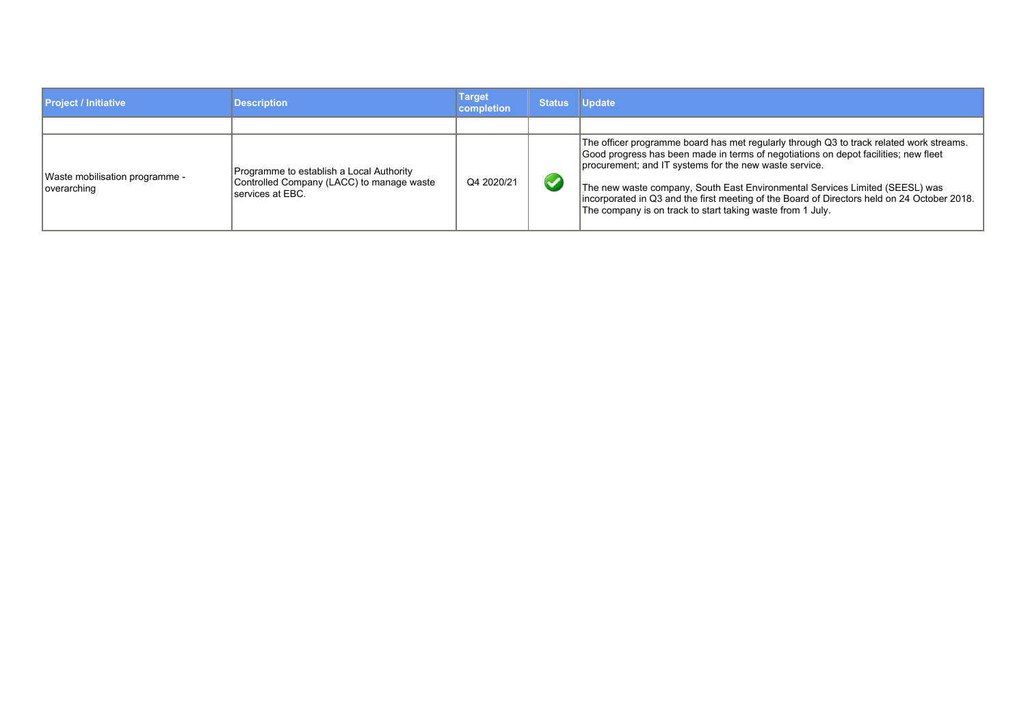| <b>Project / Initiative</b>                   | <b>Description</b>                                                                                         | Target<br>completion | <b>Status</b>        | <b>Update</b>                                                                                                                                                                                                                                                                                                                                                                                                                                                                         |
|-----------------------------------------------|------------------------------------------------------------------------------------------------------------|----------------------|----------------------|---------------------------------------------------------------------------------------------------------------------------------------------------------------------------------------------------------------------------------------------------------------------------------------------------------------------------------------------------------------------------------------------------------------------------------------------------------------------------------------|
|                                               |                                                                                                            |                      |                      |                                                                                                                                                                                                                                                                                                                                                                                                                                                                                       |
| Waste mobilisation programme -<br>overarching | Programme to establish a Local Authority<br>Controlled Company (LACC) to manage waste<br>Iservices at EBC. | Q4 2020/21           | $\blacktriangledown$ | The officer programme board has met regularly through Q3 to track related work streams.<br>Good progress has been made in terms of negotiations on depot facilities; new fleet<br>procurement; and IT systems for the new waste service.<br>The new waste company, South East Environmental Services Limited (SEESL) was<br>Incorporated in Q3 and the first meeting of the Board of Directors held on 24 October 2018.<br>The company is on track to start taking waste from 1 July. |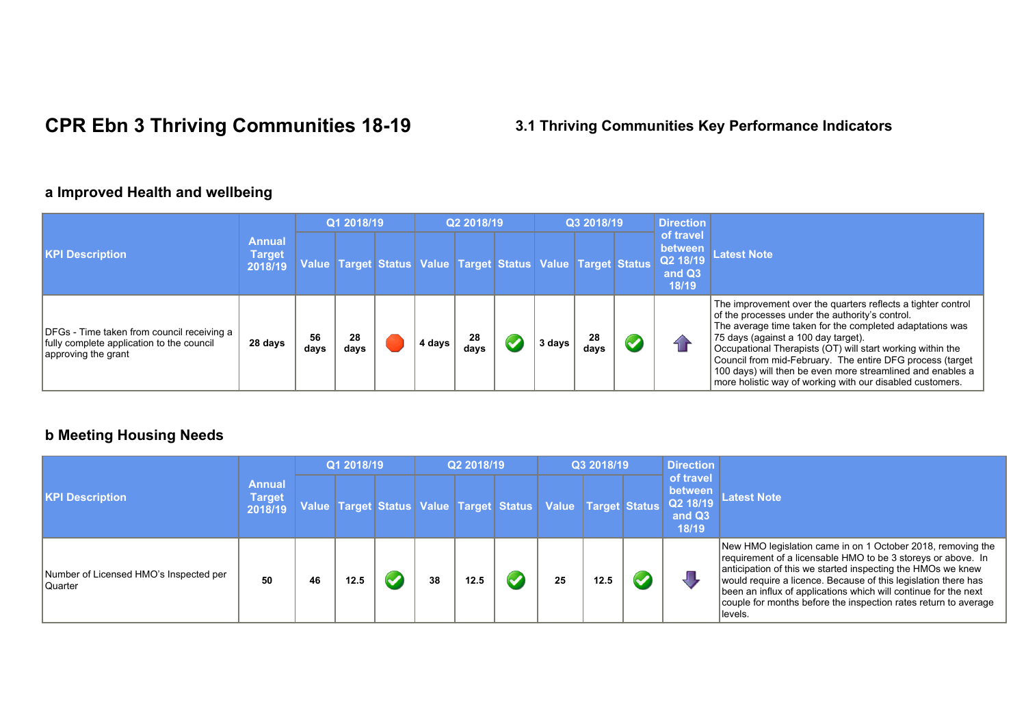# **CPR Ebn 3 Thriving Communities 18-19 3.1 Thriving Communities Key Performance Indicators**

#### **a Improved Health and wellbeing**

|                                                                                                                |                                           | Q1 2018/19 |            |  | Q2 2018/19 |            |  |        | Q3 2018/19 | <b>Direction</b>                                    |                                                                                                                                                                                                                                                                                                                                                                                                                                                                          |
|----------------------------------------------------------------------------------------------------------------|-------------------------------------------|------------|------------|--|------------|------------|--|--------|------------|-----------------------------------------------------|--------------------------------------------------------------------------------------------------------------------------------------------------------------------------------------------------------------------------------------------------------------------------------------------------------------------------------------------------------------------------------------------------------------------------------------------------------------------------|
| <b>KPI Description</b>                                                                                         | <b>Annual</b><br><b>Target</b><br>2018/19 |            |            |  |            |            |  |        |            | of travel<br>between<br>Q2 18/19<br>and Q3<br>18/19 | <b>Latest Note</b>                                                                                                                                                                                                                                                                                                                                                                                                                                                       |
| DFGs - Time taken from council receiving a<br>fully complete application to the council<br>approving the grant | 28 days                                   | 56<br>days | 28<br>days |  | 4 days     | 28<br>days |  | 3 days | 28<br>davs | 4.                                                  | The improvement over the quarters reflects a tighter control<br>of the processes under the authority's control.<br>The average time taken for the completed adaptations was<br>75 days (against a 100 day target).<br>Occupational Therapists (OT) will start working within the<br>Council from mid-February. The entire DFG process (target<br>100 days) will then be even more streamlined and enables a<br>more holistic way of working with our disabled customers. |

### **b Meeting Housing Needs**

|                                                          |                                           | Q1 2018/19 |      |  | Q2 2018/19 |      |                                         |              | Q3 2018/19 |               | <b>Direction</b>                                    |                                                                                                                                                                                                                                                                                                                                                                                                                |  |
|----------------------------------------------------------|-------------------------------------------|------------|------|--|------------|------|-----------------------------------------|--------------|------------|---------------|-----------------------------------------------------|----------------------------------------------------------------------------------------------------------------------------------------------------------------------------------------------------------------------------------------------------------------------------------------------------------------------------------------------------------------------------------------------------------------|--|
| <b>KPI Description</b>                                   | <b>Annual</b><br><b>Target</b><br>2018/19 |            |      |  |            |      | Value Target Status Value Target Status | <b>Value</b> |            | Target Status | of travel<br>between<br>Q2 18/19<br>and Q3<br>18/19 | <b>Latest Note</b>                                                                                                                                                                                                                                                                                                                                                                                             |  |
| Number of Licensed HMO's Inspected per<br><b>Quarter</b> | 50                                        | 46         | 12.5 |  | 38         | 12.5 |                                         | 25           | 12.5       |               |                                                     | New HMO legislation came in on 1 October 2018, removing the<br>requirement of a licensable HMO to be 3 storeys or above. In<br>anticipation of this we started inspecting the HMOs we knew<br>would require a licence. Because of this legislation there has<br>been an influx of applications which will continue for the next<br>couple for months before the inspection rates return to average<br>llevels. |  |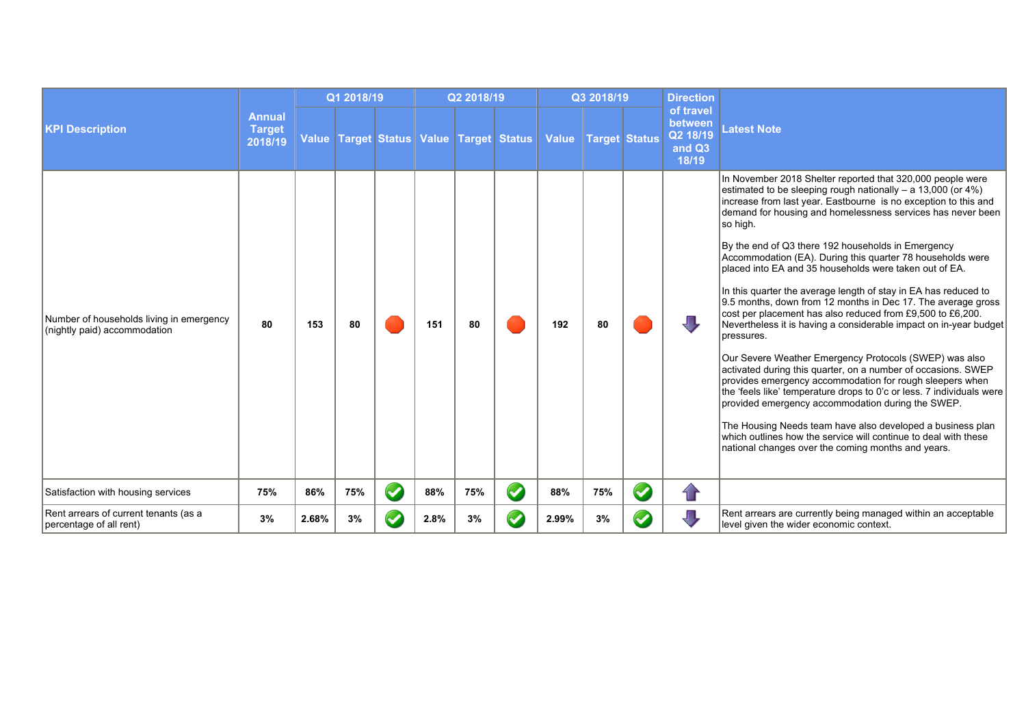|                                                                          |                                           |       | Q1 2018/19 |                      |      | Q2 2018/19 |                                         |              | Q3 2018/19 |                      | <b>Direction</b>                                    |                                                                                                                                                                                                                                                                                                                                                                                                                                                                                                                                                                                                                                                                                                                                                                                                                                                                                                                                                                                                                                                                                                                                                                                                                                                          |
|--------------------------------------------------------------------------|-------------------------------------------|-------|------------|----------------------|------|------------|-----------------------------------------|--------------|------------|----------------------|-----------------------------------------------------|----------------------------------------------------------------------------------------------------------------------------------------------------------------------------------------------------------------------------------------------------------------------------------------------------------------------------------------------------------------------------------------------------------------------------------------------------------------------------------------------------------------------------------------------------------------------------------------------------------------------------------------------------------------------------------------------------------------------------------------------------------------------------------------------------------------------------------------------------------------------------------------------------------------------------------------------------------------------------------------------------------------------------------------------------------------------------------------------------------------------------------------------------------------------------------------------------------------------------------------------------------|
| <b>KPI Description</b>                                                   | <b>Annual</b><br><b>Target</b><br>2018/19 |       |            |                      |      |            | Value Target Status Value Target Status | <b>Value</b> |            | <b>Target Status</b> | of travel<br>between<br>Q2 18/19<br>and Q3<br>18/19 | <b>Latest Note</b>                                                                                                                                                                                                                                                                                                                                                                                                                                                                                                                                                                                                                                                                                                                                                                                                                                                                                                                                                                                                                                                                                                                                                                                                                                       |
| Number of households living in emergency<br>(nightly paid) accommodation | 80                                        | 153   | 80         |                      | 151  | 80         |                                         | 192          | 80         |                      | ĮТ,                                                 | In November 2018 Shelter reported that 320,000 people were<br>estimated to be sleeping rough nationally $-$ a 13,000 (or 4%)<br>increase from last year. Eastbourne is no exception to this and<br>demand for housing and homelessness services has never been<br>so high.<br>By the end of Q3 there 192 households in Emergency<br>Accommodation (EA). During this quarter 78 households were<br>placed into EA and 35 households were taken out of EA.<br>In this quarter the average length of stay in EA has reduced to<br>9.5 months, down from 12 months in Dec 17. The average gross<br>cost per placement has also reduced from £9,500 to £6,200.<br>Nevertheless it is having a considerable impact on in-year budget<br>pressures.<br>Our Severe Weather Emergency Protocols (SWEP) was also<br>activated during this quarter, on a number of occasions. SWEP<br>provides emergency accommodation for rough sleepers when<br>the 'feels like' temperature drops to 0'c or less. 7 individuals were<br>provided emergency accommodation during the SWEP.<br>The Housing Needs team have also developed a business plan<br>which outlines how the service will continue to deal with these<br>national changes over the coming months and years. |
| Satisfaction with housing services                                       | 75%                                       | 86%   | 75%        | $\blacktriangledown$ | 88%  | 75%        | $\bullet$                               | 88%          | 75%        | $\bullet$            | $\mathbf{f}$                                        |                                                                                                                                                                                                                                                                                                                                                                                                                                                                                                                                                                                                                                                                                                                                                                                                                                                                                                                                                                                                                                                                                                                                                                                                                                                          |
| Rent arrears of current tenants (as a<br>percentage of all rent)         | 3%                                        | 2.68% | 3%         | $\blacktriangledown$ | 2.8% | 3%         | $\blacktriangledown$                    | 2.99%        | 3%         |                      | Л                                                   | Rent arrears are currently being managed within an acceptable<br>level given the wider economic context.                                                                                                                                                                                                                                                                                                                                                                                                                                                                                                                                                                                                                                                                                                                                                                                                                                                                                                                                                                                                                                                                                                                                                 |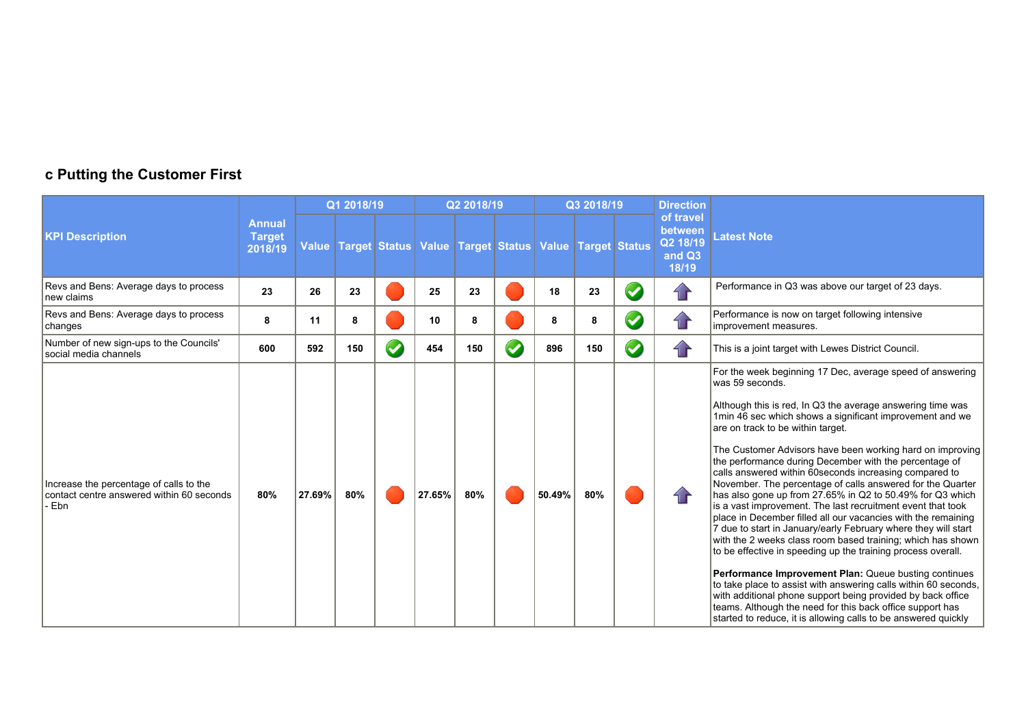# **c Putting the Customer First**

|                                                                                             |                                           |              | Q1 2018/19 |                                                                   | Q2 2018/19 |     |                      |        | Q3 2018/19 |                      | <b>Direction</b>                                    |                                                                                                                                                                                                                                                                                                                                                                                                                                                                                                                                                                                                                                                                                                                                                                                                                                                                                                                                                                                                                                                                                                                                                                                                                    |
|---------------------------------------------------------------------------------------------|-------------------------------------------|--------------|------------|-------------------------------------------------------------------|------------|-----|----------------------|--------|------------|----------------------|-----------------------------------------------------|--------------------------------------------------------------------------------------------------------------------------------------------------------------------------------------------------------------------------------------------------------------------------------------------------------------------------------------------------------------------------------------------------------------------------------------------------------------------------------------------------------------------------------------------------------------------------------------------------------------------------------------------------------------------------------------------------------------------------------------------------------------------------------------------------------------------------------------------------------------------------------------------------------------------------------------------------------------------------------------------------------------------------------------------------------------------------------------------------------------------------------------------------------------------------------------------------------------------|
| <b>KPI Description</b>                                                                      | <b>Annual</b><br><b>Target</b><br>2018/19 | <b>Value</b> |            | Target Status   Value   Target   Status   Value   Target   Status |            |     |                      |        |            |                      | of travel<br>between<br>Q2 18/19<br>and Q3<br>18/19 | Latest Note                                                                                                                                                                                                                                                                                                                                                                                                                                                                                                                                                                                                                                                                                                                                                                                                                                                                                                                                                                                                                                                                                                                                                                                                        |
| Revs and Bens: Average days to process<br>new claims                                        | 23                                        | 26           | 23         |                                                                   | 25         | 23  |                      | 18     | 23         | $\blacktriangledown$ | $\mathbf{r}$                                        | Performance in Q3 was above our target of 23 days.                                                                                                                                                                                                                                                                                                                                                                                                                                                                                                                                                                                                                                                                                                                                                                                                                                                                                                                                                                                                                                                                                                                                                                 |
| Revs and Bens: Average days to process<br>changes                                           | 8                                         | 11           | 8          |                                                                   | 10         | 8   |                      | 8      | 8          | $\blacktriangledown$ | $\mathbf{r}$                                        | Performance is now on target following intensive<br>improvement measures.                                                                                                                                                                                                                                                                                                                                                                                                                                                                                                                                                                                                                                                                                                                                                                                                                                                                                                                                                                                                                                                                                                                                          |
| Number of new sign-ups to the Councils'<br>social media channels                            | 600                                       | 592          | 150        | $\bullet$                                                         | 454        | 150 | $\blacktriangledown$ | 896    | 150        | $\blacktriangledown$ | $\mathbf{r}$                                        | This is a joint target with Lewes District Council.                                                                                                                                                                                                                                                                                                                                                                                                                                                                                                                                                                                                                                                                                                                                                                                                                                                                                                                                                                                                                                                                                                                                                                |
| Increase the percentage of calls to the<br>contact centre answered within 60 seconds<br>Ebn | 80%                                       | 27.69%       | 80%        |                                                                   | 27.65%     | 80% |                      | 50.49% | 80%        |                      | 1F                                                  | For the week beginning 17 Dec, average speed of answering<br>was 59 seconds.<br>Although this is red, In Q3 the average answering time was<br>1min 46 sec which shows a significant improvement and we<br>are on track to be within target.<br>The Customer Advisors have been working hard on improving<br>the performance during December with the percentage of<br>calls answered within 60seconds increasing compared to<br>November. The percentage of calls answered for the Quarter<br>has also gone up from 27.65% in Q2 to 50.49% for Q3 which<br>is a vast improvement. The last recruitment event that took<br>place in December filled all our vacancies with the remaining<br>7 due to start in January/early February where they will start<br>with the 2 weeks class room based training; which has shown<br>to be effective in speeding up the training process overall.<br>Performance Improvement Plan: Queue busting continues<br>to take place to assist with answering calls within 60 seconds,<br>with additional phone support being provided by back office<br>teams. Although the need for this back office support has<br>started to reduce, it is allowing calls to be answered quickly |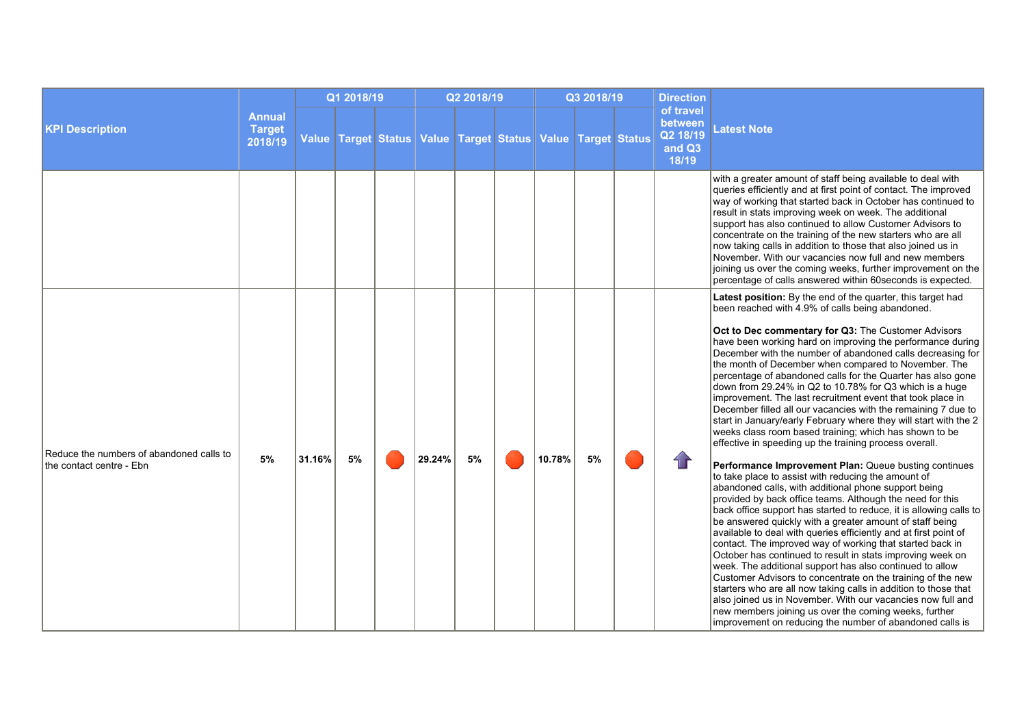|                                                                      |                                           |        | Q1 2018/19 |                                                                         | Q2 2018/19 |    |  |        | Q3 2018/19 | <b>Direction</b>                                    |                                                                                                                                                                                                                                                                                                                                                                                                                                                                                                                                                                                                                                                                                                                                                                                                                                                                                                                                                                                                                                                                                                                                                                                                                                                                                                                                                                                                                                                                                                                                                                                                                                                                                                                                                                     |
|----------------------------------------------------------------------|-------------------------------------------|--------|------------|-------------------------------------------------------------------------|------------|----|--|--------|------------|-----------------------------------------------------|---------------------------------------------------------------------------------------------------------------------------------------------------------------------------------------------------------------------------------------------------------------------------------------------------------------------------------------------------------------------------------------------------------------------------------------------------------------------------------------------------------------------------------------------------------------------------------------------------------------------------------------------------------------------------------------------------------------------------------------------------------------------------------------------------------------------------------------------------------------------------------------------------------------------------------------------------------------------------------------------------------------------------------------------------------------------------------------------------------------------------------------------------------------------------------------------------------------------------------------------------------------------------------------------------------------------------------------------------------------------------------------------------------------------------------------------------------------------------------------------------------------------------------------------------------------------------------------------------------------------------------------------------------------------------------------------------------------------------------------------------------------------|
| <b>KPI Description</b>                                               | <b>Annual</b><br><b>Target</b><br>2018/19 |        |            | Value Target Status   Value   Target   Status   Value   Target   Status |            |    |  |        |            | of travel<br>between<br>Q2 18/19<br>and Q3<br>18/19 | <b>Latest Note</b>                                                                                                                                                                                                                                                                                                                                                                                                                                                                                                                                                                                                                                                                                                                                                                                                                                                                                                                                                                                                                                                                                                                                                                                                                                                                                                                                                                                                                                                                                                                                                                                                                                                                                                                                                  |
|                                                                      |                                           |        |            |                                                                         |            |    |  |        |            |                                                     | with a greater amount of staff being available to deal with<br>queries efficiently and at first point of contact. The improved<br>way of working that started back in October has continued to<br>result in stats improving week on week. The additional<br>support has also continued to allow Customer Advisors to<br>concentrate on the training of the new starters who are all<br>now taking calls in addition to those that also joined us in<br>November. With our vacancies now full and new members<br>joining us over the coming weeks, further improvement on the<br>percentage of calls answered within 60 seconds is expected.                                                                                                                                                                                                                                                                                                                                                                                                                                                                                                                                                                                                                                                                                                                                                                                                                                                                                                                                                                                                                                                                                                                         |
| Reduce the numbers of abandoned calls to<br>the contact centre - Ebn | 5%                                        | 31.16% | 5%         |                                                                         | 29.24%     | 5% |  | 10.78% | 5%         | 11                                                  | Latest position: By the end of the quarter, this target had<br>been reached with 4.9% of calls being abandoned.<br>Oct to Dec commentary for Q3: The Customer Advisors<br>have been working hard on improving the performance during<br>December with the number of abandoned calls decreasing for<br>the month of December when compared to November. The<br>percentage of abandoned calls for the Quarter has also gone<br>down from 29.24% in Q2 to 10.78% for Q3 which is a huge<br>improvement. The last recruitment event that took place in<br>December filled all our vacancies with the remaining 7 due to<br>start in January/early February where they will start with the 2<br>weeks class room based training; which has shown to be<br>effective in speeding up the training process overall.<br>Performance Improvement Plan: Queue busting continues<br>to take place to assist with reducing the amount of<br>abandoned calls, with additional phone support being<br>provided by back office teams. Although the need for this<br>back office support has started to reduce, it is allowing calls to<br>be answered quickly with a greater amount of staff being<br>available to deal with queries efficiently and at first point of<br>contact. The improved way of working that started back in<br>October has continued to result in stats improving week on<br>week. The additional support has also continued to allow<br>Customer Advisors to concentrate on the training of the new<br>starters who are all now taking calls in addition to those that<br>also joined us in November. With our vacancies now full and<br>new members joining us over the coming weeks, further<br>improvement on reducing the number of abandoned calls is |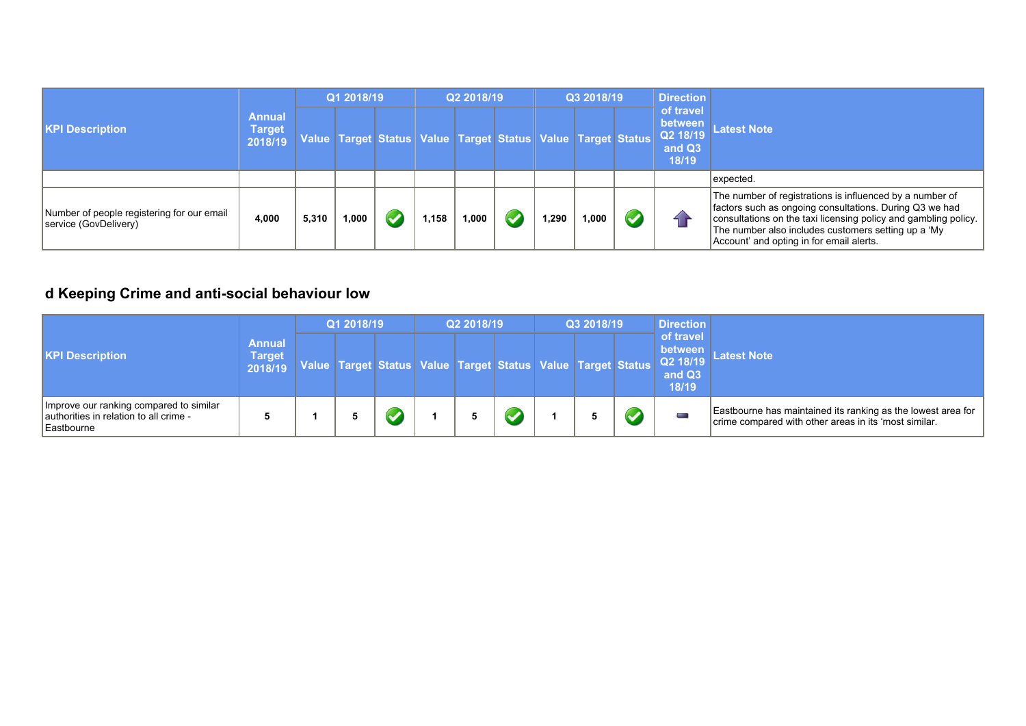|                                                                     |                                    |       | Q1 2018/19 |      | Q2 2018/19 |                                                                          |      | Q3 2018/19 | <b>Direction</b>                                    |                                                                                                                                                                                                                                                                                           |  |
|---------------------------------------------------------------------|------------------------------------|-------|------------|------|------------|--------------------------------------------------------------------------|------|------------|-----------------------------------------------------|-------------------------------------------------------------------------------------------------------------------------------------------------------------------------------------------------------------------------------------------------------------------------------------------|--|
| <b>KPI Description</b>                                              | Annual<br><b>Target</b><br>2018/19 |       |            |      |            | Value  Target Status   Value   Target   Status   Value   Target   Status |      |            | of travel<br>between<br>Q2 18/19<br>and Q3<br>18/19 | <b>Latest Note</b>                                                                                                                                                                                                                                                                        |  |
|                                                                     |                                    |       |            |      |            |                                                                          |      |            |                                                     | expected.                                                                                                                                                                                                                                                                                 |  |
| Number of people registering for our email<br>service (GovDelivery) | 4,000                              | 5,310 | 1.000      | .158 | 1.000      |                                                                          | ,290 | 1,000      |                                                     | The number of registrations is influenced by a number of<br>factors such as ongoing consultations. During Q3 we had<br>consultations on the taxi licensing policy and gambling policy.<br>The number also includes customers setting up a 'My<br>Account' and opting in for email alerts. |  |

# **d Keeping Crime and anti-social behaviour low**

|                                                                                                 |                                    | Q1 2018/19 |  | Q2 2018/19 |  | Q3 2018/19 | <b>Direction</b>                                                                                                      |                                                                                                                       |
|-------------------------------------------------------------------------------------------------|------------------------------------|------------|--|------------|--|------------|-----------------------------------------------------------------------------------------------------------------------|-----------------------------------------------------------------------------------------------------------------------|
| <b>KPI Description</b>                                                                          | Annual<br><b>Target</b><br>2018/19 |            |  |            |  |            | of travel<br>between<br>Value Target Status   Value Target Status   Value Target Status   Q2 18/19<br>and Q3<br>18/19 | <b>Latest Note</b>                                                                                                    |
| Improve our ranking compared to similar<br>authorities in relation to all crime -<br>Eastbourne |                                    |            |  |            |  |            |                                                                                                                       | Eastbourne has maintained its ranking as the lowest area for<br>crime compared with other areas in its 'most similar. |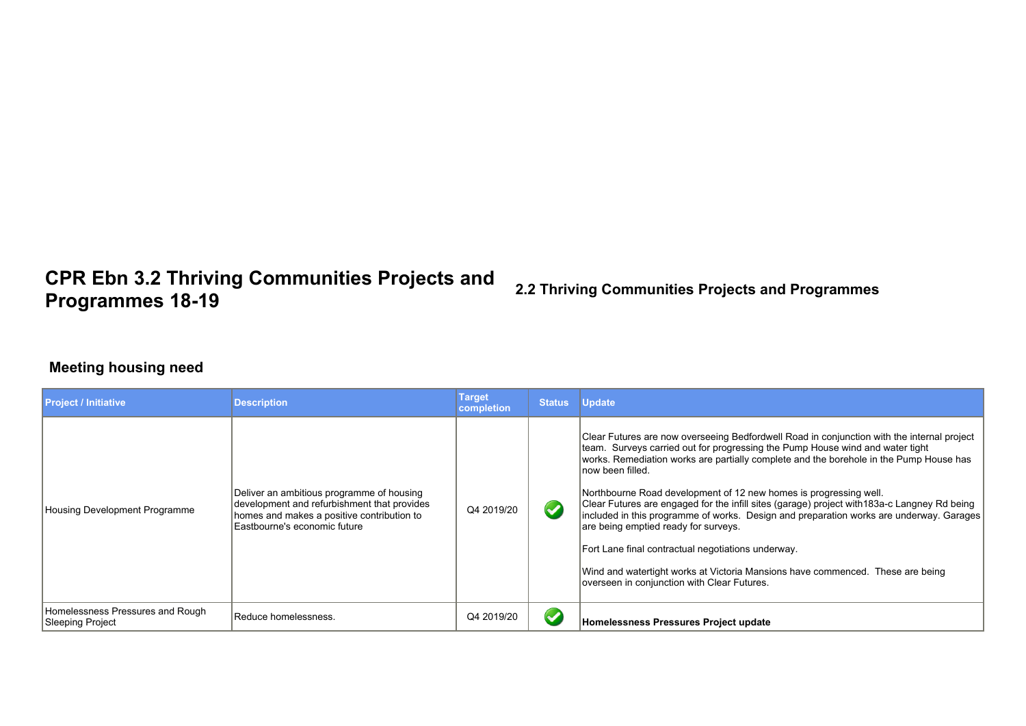# **CPR Ebn 3.2 Thriving Communities Projects and**

**Programmes 18-19 2.2 Thriving Communities Projects and Programmes**

#### **Meeting housing need**

| <b>Project / Initiative</b>                          | <b>Description</b>                                                                                                                                                     | Target<br>completion | <b>Status</b>        | <b>Update</b>                                                                                                                                                                                                                                                                                                                                                                                                                                                                                                                                                                                                                                                                                                                                                                             |
|------------------------------------------------------|------------------------------------------------------------------------------------------------------------------------------------------------------------------------|----------------------|----------------------|-------------------------------------------------------------------------------------------------------------------------------------------------------------------------------------------------------------------------------------------------------------------------------------------------------------------------------------------------------------------------------------------------------------------------------------------------------------------------------------------------------------------------------------------------------------------------------------------------------------------------------------------------------------------------------------------------------------------------------------------------------------------------------------------|
| Housing Development Programme                        | Deliver an ambitious programme of housing<br>development and refurbishment that provides<br>homes and makes a positive contribution to<br>Eastbourne's economic future | Q4 2019/20           | $\blacktriangledown$ | Clear Futures are now overseeing Bedfordwell Road in conjunction with the internal project<br>team. Surveys carried out for progressing the Pump House wind and water tight<br>works. Remediation works are partially complete and the borehole in the Pump House has<br>now been filled.<br>Northbourne Road development of 12 new homes is progressing well.<br>Clear Futures are engaged for the infill sites (garage) project with 183a-c Langney Rd being<br> included in this programme of works. Design and preparation works are underway. Garages<br>are being emptied ready for surveys.<br>Fort Lane final contractual negotiations underway.<br>Wind and watertight works at Victoria Mansions have commenced. These are being<br>overseen in conjunction with Clear Futures. |
| Homelessness Pressures and Rough<br>Sleeping Project | Reduce homelessness.                                                                                                                                                   | Q4 2019/20           | $\bullet$            | Homelessness Pressures Project update                                                                                                                                                                                                                                                                                                                                                                                                                                                                                                                                                                                                                                                                                                                                                     |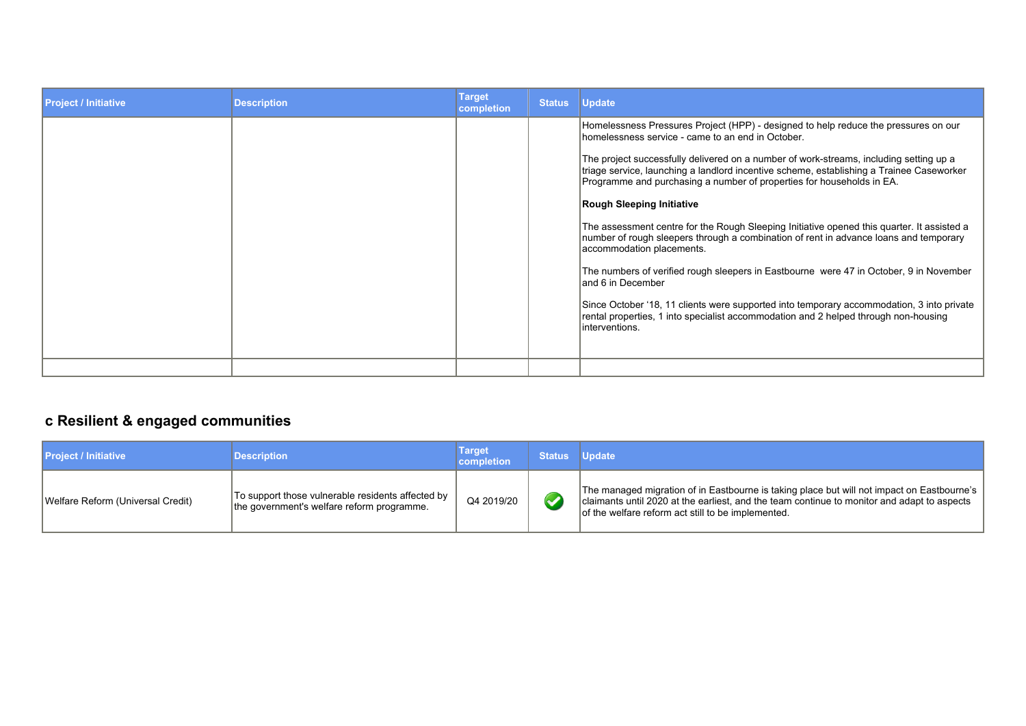| <b>Project / Initiative</b> | <b>Description</b> | <b>Target</b><br>completion | <b>Status</b> | <b>Update</b>                                                                                                                                                                                                                                               |
|-----------------------------|--------------------|-----------------------------|---------------|-------------------------------------------------------------------------------------------------------------------------------------------------------------------------------------------------------------------------------------------------------------|
|                             |                    |                             |               | Homelessness Pressures Project (HPP) - designed to help reduce the pressures on our<br>homelessness service - came to an end in October.                                                                                                                    |
|                             |                    |                             |               | The project successfully delivered on a number of work-streams, including setting up a<br>triage service, launching a landlord incentive scheme, establishing a Trainee Caseworker<br>Programme and purchasing a number of properties for households in EA. |
|                             |                    |                             |               | <b>Rough Sleeping Initiative</b>                                                                                                                                                                                                                            |
|                             |                    |                             |               | The assessment centre for the Rough Sleeping Initiative opened this quarter. It assisted a<br>number of rough sleepers through a combination of rent in advance loans and temporary<br>accommodation placements.                                            |
|                             |                    |                             |               | The numbers of verified rough sleepers in Eastbourne were 47 in October, 9 in November<br>land 6 in December                                                                                                                                                |
|                             |                    |                             |               | Since October '18, 11 clients were supported into temporary accommodation, 3 into private<br>rental properties, 1 into specialist accommodation and 2 helped through non-housing<br>interventions.                                                          |
|                             |                    |                             |               |                                                                                                                                                                                                                                                             |

# **c Resilient & engaged communities**

| <b>Project / Initiative</b>       | <b>Description</b>                                                                              | Target<br>completion | <b>Status</b> | <b>Update</b>                                                                                                                                                                                                                                   |
|-----------------------------------|-------------------------------------------------------------------------------------------------|----------------------|---------------|-------------------------------------------------------------------------------------------------------------------------------------------------------------------------------------------------------------------------------------------------|
| Welfare Reform (Universal Credit) | To support those vulnerable residents affected by<br>the government's welfare reform programme. | Q4 2019/20           |               | The managed migration of in Eastbourne is taking place but will not impact on Eastbourne's<br>claimants until 2020 at the earliest, and the team continue to monitor and adapt to aspects<br>of the welfare reform act still to be implemented. |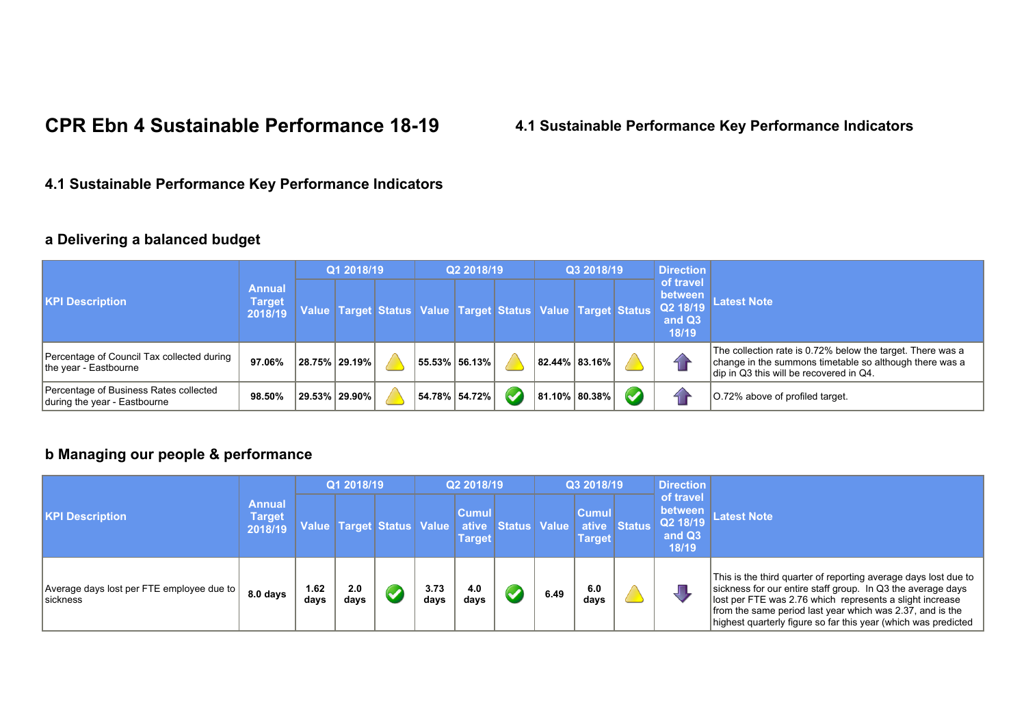# **CPR Ebn 4 Sustainable Performance 18-19 4.1 Sustainable Performance Key Performance Indicators**

### **4.1 Sustainable Performance Key Performance Indicators**

### **a Delivering a balanced budget**

|                                                                        |                                           | Q1 2018/19 |                                                             |  | Q2 2018/19    |               |          | Q3 2018/19          |  |  | <b>Direction</b>                                    |                                                                                                                                                                  |
|------------------------------------------------------------------------|-------------------------------------------|------------|-------------------------------------------------------------|--|---------------|---------------|----------|---------------------|--|--|-----------------------------------------------------|------------------------------------------------------------------------------------------------------------------------------------------------------------------|
| <b>KPI Description</b>                                                 | <b>Annual</b><br><b>Target</b><br>2018/19 |            | Value Target Status Value Target Status Value Target Status |  |               |               |          |                     |  |  | of travel<br>between<br>Q2 18/19<br>and Q3<br>18/19 | <b>Latest Note</b>                                                                                                                                               |
| Percentage of Council Tax collected during<br>the year - Eastbourne    | 97.06%                                    |            | 28.75% 29.19%                                               |  | 55.53% 56.13% |               |          | 82.44% 83.16%       |  |  | 11                                                  | The collection rate is 0.72% below the target. There was a<br>change in the summons timetable so although there was a<br>dip in Q3 this will be recovered in Q4. |
| Percentage of Business Rates collected<br>during the year - Eastbourne | 98.50%                                    |            | 29.53% 29.90%                                               |  |               | 54.78% 54.72% | <b>V</b> | $ 81.10\% 80.38\% $ |  |  |                                                     | O.72% above of profiled target.                                                                                                                                  |

#### **b Managing our people & performance**

|                                                              |                                    | Q1 2018/19   |             |                                | Q2 2018/19   |                                        |                     | Q3 2018/19 |                        |              | <b>Direction</b>                                                |                                                                                                                                                                                                                                                                                                                           |
|--------------------------------------------------------------|------------------------------------|--------------|-------------|--------------------------------|--------------|----------------------------------------|---------------------|------------|------------------------|--------------|-----------------------------------------------------------------|---------------------------------------------------------------------------------------------------------------------------------------------------------------------------------------------------------------------------------------------------------------------------------------------------------------------------|
| <b>KPI Description</b>                                       | Annual<br><b>Target</b><br>2018/19 |              |             | Value  Target   Status   Value |              | <b>Cumul</b><br>ative<br><b>Target</b> | <b>Status Value</b> |            | Cumul<br><b>Target</b> | ative Status | of travel<br>between<br>Q2 18/19<br>and Q <sub>3</sub><br>18/19 | <b>Latest Note</b>                                                                                                                                                                                                                                                                                                        |
| Average days lost per FTE employee due to<br><b>Sickness</b> | 8.0 days                           | 1.62<br>days | 2.0<br>days |                                | 3.73<br>days | 4.0<br>days                            |                     | 6.49       | 6.0<br>days            |              |                                                                 | This is the third quarter of reporting average days lost due to<br>sickness for our entire staff group. In Q3 the average days<br>lost per FTE was 2.76 which represents a slight increase<br>from the same period last year which was 2.37, and is the<br>highest quarterly figure so far this year (which was predicted |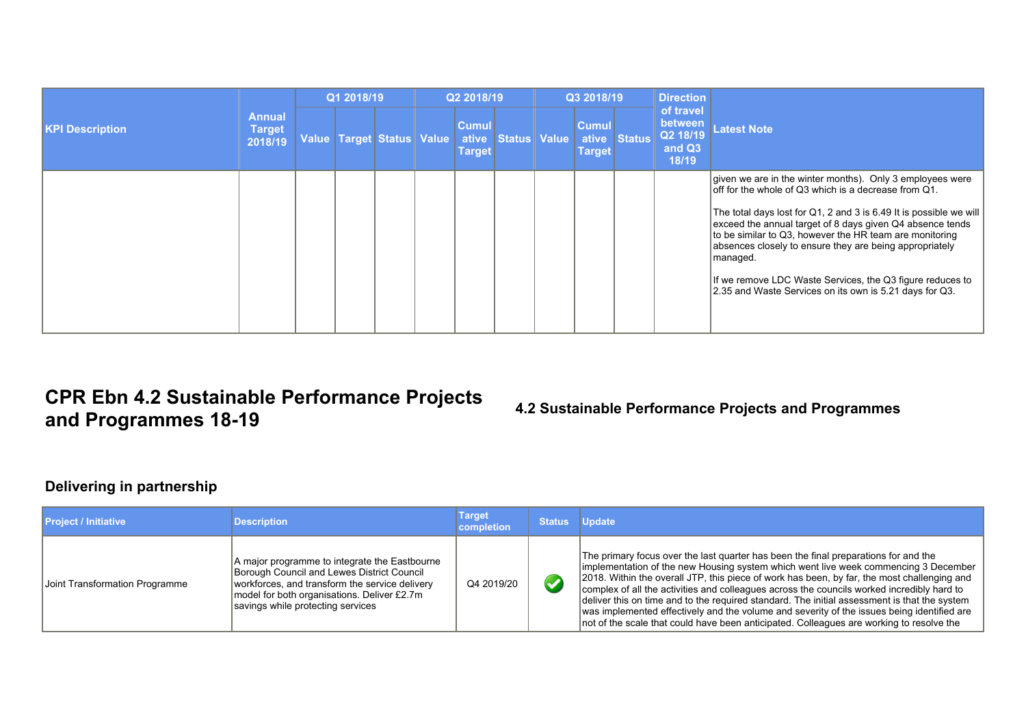|                        | <b>Annual</b><br><b>Target</b><br>2018/19 | Q1 2018/19 |  |                           | Q2 2018/19 |                                        |              | Q3 2018/19 |                               |              | <b>Direction</b>                                    |                                                                                                                                                                                                                                                                                                                                                                                                                                                                                                                 |
|------------------------|-------------------------------------------|------------|--|---------------------------|------------|----------------------------------------|--------------|------------|-------------------------------|--------------|-----------------------------------------------------|-----------------------------------------------------------------------------------------------------------------------------------------------------------------------------------------------------------------------------------------------------------------------------------------------------------------------------------------------------------------------------------------------------------------------------------------------------------------------------------------------------------------|
| <b>KPI Description</b> |                                           |            |  | Value Target Status Value |            | <b>Cumul</b><br>ative<br><b>Target</b> | Status Value |            | <b>Cumul</b><br><b>Target</b> | ative Status | of travel<br>between<br>Q2 18/19<br>and Q3<br>18/19 | <b>Latest Note</b>                                                                                                                                                                                                                                                                                                                                                                                                                                                                                              |
|                        |                                           |            |  |                           |            |                                        |              |            |                               |              |                                                     | given we are in the winter months). Only 3 employees were<br>off for the whole of Q3 which is a decrease from Q1.<br>The total days lost for Q1, 2 and 3 is 6.49 It is possible we will<br>exceed the annual target of 8 days given Q4 absence tends<br>to be similar to Q3, however the HR team are monitoring<br>absences closely to ensure they are being appropriately<br> managed.<br>If we remove LDC Waste Services, the Q3 figure reduces to<br>2.35 and Waste Services on its own is 5.21 days for Q3. |

# **CPR Ebn 4.2 Sustainable Performance Projects**

**and Programmes 18-19 4.2 Sustainable Performance Projects and Programmes**

#### **Delivering in partnership**

| <b>Project / Initiative</b>    | <b>Description</b>                                                                                                                                                                                                                | Target<br>completion | <b>Status</b> | <b>Update</b>                                                                                                                                                                                                                                                                                                                                                                                                                                                                                                                                                                                                                                                     |
|--------------------------------|-----------------------------------------------------------------------------------------------------------------------------------------------------------------------------------------------------------------------------------|----------------------|---------------|-------------------------------------------------------------------------------------------------------------------------------------------------------------------------------------------------------------------------------------------------------------------------------------------------------------------------------------------------------------------------------------------------------------------------------------------------------------------------------------------------------------------------------------------------------------------------------------------------------------------------------------------------------------------|
| Joint Transformation Programme | A major programme to integrate the Eastbourne<br>Borough Council and Lewes District Council<br>workforces, and transform the service delivery<br>model for both organisations. Deliver £2.7m<br>savings while protecting services | Q4 2019/20           |               | The primary focus over the last quarter has been the final preparations for and the<br>implementation of the new Housing system which went live week commencing 3 December<br>2018. Within the overall JTP, this piece of work has been, by far, the most challenging and<br>complex of all the activities and colleagues across the councils worked incredibly hard to<br>deliver this on time and to the required standard. The initial assessment is that the system<br>was implemented effectively and the volume and severity of the issues being identified are<br>not of the scale that could have been anticipated. Colleagues are working to resolve the |